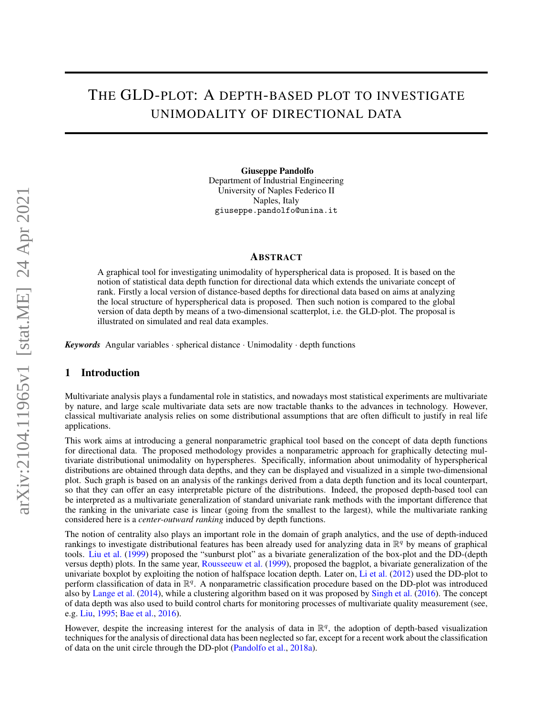# THE GLD-PLOT: A DEPTH-BASED PLOT TO INVESTIGATE UNIMODALITY OF DIRECTIONAL DATA

Giuseppe Pandolfo Department of Industrial Engineering University of Naples Federico II Naples, Italy giuseppe.pandolfo@unina.it

#### ABSTRACT

A graphical tool for investigating unimodality of hyperspherical data is proposed. It is based on the notion of statistical data depth function for directional data which extends the univariate concept of rank. Firstly a local version of distance-based depths for directional data based on aims at analyzing the local structure of hyperspherical data is proposed. Then such notion is compared to the global version of data depth by means of a two-dimensional scatterplot, i.e. the GLD-plot. The proposal is illustrated on simulated and real data examples.

*Keywords* Angular variables · spherical distance · Unimodality · depth functions

## 1 Introduction

Multivariate analysis plays a fundamental role in statistics, and nowadays most statistical experiments are multivariate by nature, and large scale multivariate data sets are now tractable thanks to the advances in technology. However, classical multivariate analysis relies on some distributional assumptions that are often difficult to justify in real life applications.

This work aims at introducing a general nonparametric graphical tool based on the concept of data depth functions for directional data. The proposed methodology provides a nonparametric approach for graphically detecting multivariate distributional unimodality on hyperspheres. Specifically, information about unimodality of hyperspherical distributions are obtained through data depths, and they can be displayed and visualized in a simple two-dimensional plot. Such graph is based on an analysis of the rankings derived from a data depth function and its local counterpart, so that they can offer an easy interpretable picture of the distributions. Indeed, the proposed depth-based tool can be interpreted as a multivariate generalization of standard univariate rank methods with the important difference that the ranking in the univariate case is linear (going from the smallest to the largest), while the multivariate ranking considered here is a *center-outward ranking* induced by depth functions.

The notion of centrality also plays an important role in the domain of graph analytics, and the use of depth-induced rankings to investigate distributional features has been already used for analyzing data in  $\mathbb{R}^q$  by means of graphical tools. [Liu et al.](#page-12-0) [\(1999\)](#page-12-0) proposed the "sunburst plot" as a bivariate generalization of the box-plot and the DD-(depth versus depth) plots. In the same year, [Rousseeuw et al.](#page-12-1) [\(1999\)](#page-12-1), proposed the bagplot, a bivariate generalization of the univariate boxplot by exploiting the notion of halfspace location depth. Later on, [Li et al.](#page-12-2) [\(2012\)](#page-12-2) used the DD-plot to perform classification of data in  $\mathbb{R}^q$ . A nonparametric classification procedure based on the DD-plot was introduced also by [Lange et al.](#page-12-3) [\(2014\)](#page-12-3), while a clustering algorithm based on it was proposed by [Singh et al.](#page-12-4) [\(2016\)](#page-12-4). The concept of data depth was also used to build control charts for monitoring processes of multivariate quality measurement (see, e.g. [Liu,](#page-12-5) [1995;](#page-12-5) [Bae et al.,](#page-12-6) [2016\)](#page-12-6).

However, despite the increasing interest for the analysis of data in  $\mathbb{R}^q$ , the adoption of depth-based visualization techniques for the analysis of directional data has been neglected so far, except for a recent work about the classification of data on the unit circle through the DD-plot [\(Pandolfo et al.,](#page-12-7) [2018a\)](#page-12-7).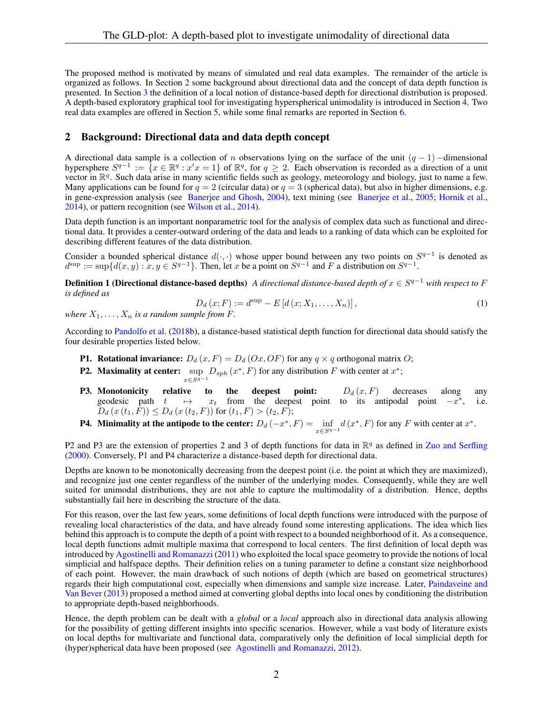The proposed method is motivated by means of simulated and real data examples. The remainder of the article is organized as follows. In Section [2](#page-1-0) some background about directional data and the concept of data depth function is presented. In Section [3](#page-2-0) the definition of a local notion of distance-based depth for directional distribution is proposed. A depth-based exploratory graphical tool for investigating hyperspherical unimodality is introduced in Section [4.](#page-3-0) Two real data examples are offered in Section [5,](#page-5-0) while some final remarks are reported in Section [6.](#page-6-0)

## <span id="page-1-0"></span>2 Background: Directional data and data depth concept

A directional data sample is a collection of n observations lying on the surface of the unit  $(q - 1)$  –dimensional hypersphere  $S^{q-1} := \{x \in \mathbb{R}^q : x^r x = 1\}$  of  $\mathbb{R}^q$ , for  $q \geq 2$ . Each observation is recorded as a direction of a unit vector in  $\mathbb{R}^q$ . Such data arise in many scientific fields such as geology, meteorology and biology, just to name a few. Many applications can be found for  $q = 2$  (circular data) or  $q = 3$  (spherical data), but also in higher dimensions, e.g. in gene-expression analysis (see [Banerjee and Ghosh,](#page-12-8) [2004\)](#page-12-8), text mining (see [Banerjee et al.,](#page-12-9) [2005;](#page-12-9) [Hornik et al.,](#page-12-10) [2014\)](#page-12-10), or pattern recognition (see [Wilson et al.,](#page-12-11) [2014\)](#page-12-11).

Data depth function is an important nonparametric tool for the analysis of complex data such as functional and directional data. It provides a center-outward ordering of the data and leads to a ranking of data which can be exploited for describing different features of the data distribution.

Consider a bounded spherical distance  $d(·, ·)$  whose upper bound between any two points on  $S^{q-1}$  is denoted as  $d^{\text{sup}} := \sup \{ d(x, y) : x, y \in S^{q-1} \}.$  Then, let x be a point on  $S^{q-1}$  and F a distribution on  $S^{q-1}$ .

**Definition 1 (Directional distance-based depths)** *A directional distance-based depth of*  $x \in S^{q-1}$  *with respect to* F *is defined as*

$$
D_d(x;F) := d^{\text{sup}} - E[d(x;X_1,\ldots,X_n)],
$$
\n(1)

*where*  $X_1, \ldots, X_n$  *is a random sample from F.* 

According to [Pandolfo et al.](#page-12-12) [\(2018b\)](#page-12-12), a distance-based statistical depth function for directional data should satisfy the four desirable properties listed below.

- **P1. Rotational invariance:**  $D_d(x, F) = D_d(0x, OF)$  for any  $q \times q$  orthogonal matrix O;
- **P2.** Maximality at center: sup  $D_{sph}(x^*, F)$  for any distribution F with center at  $x^*$ ;  $x \in S^{q-1}$
- **P3.** Monotonicity relative to the deepest point:  $D_d(x, F)$  decreases along any geodesic path  $t \mapsto x_t$  from the deepest point to its antipodal point  $-x^*$ , i.e.  $D_d(x(t_1, F)) \leq D_d(x(t_2, F))$  for  $(t_1, F) > (t_2, F)$ ;
- **P4. Minimality at the antipode to the center:**  $D_d(-x^*, F) = \inf_{x \in S^{q-1}} d(x^*, F)$  for any F with center at  $x^*$ .

P2 and P3 are the extension of properties 2 and 3 of depth functions for data in  $\mathbb{R}^q$  as defined in [Zuo and Serfling](#page-12-13) [\(2000\)](#page-12-13). Conversely, P1 and P4 characterize a distance-based depth for directional data.

Depths are known to be monotonically decreasing from the deepest point (i.e. the point at which they are maximized), and recognize just one center regardless of the number of the underlying modes. Consequently, while they are well suited for unimodal distributions, they are not able to capture the multimodality of a distribution. Hence, depths substantially fail here in describing the structure of the data.

For this reason, over the last few years, some definitions of local depth functions were introduced with the purpose of revealing local characteristics of the data, and have already found some interesting applications. The idea which lies behind this approach is to compute the depth of a point with respect to a bounded neighborhood of it. As a consequence, local depth functions admit multiple maxima that correspond to local centers. The first definition of local depth was introduced by [Agostinelli and Romanazzi](#page-12-14) [\(2011\)](#page-12-14) who exploited the local space geometry to provide the notions of local simplicial and halfspace depths. Their definition relies on a tuning parameter to define a constant size neighborhood of each point. However, the main drawback of such notions of depth (which are based on geometrical structures) regards their high computational cost, especially when dimensions and sample size increase. Later, [Paindaveine and](#page-12-15) [Van Bever](#page-12-15) [\(2013\)](#page-12-15) proposed a method aimed at converting global depths into local ones by conditioning the distribution to appropriate depth-based neighborhoods.

Hence, the depth problem can be dealt with a *global* or a *local* approach also in directional data analysis allowing for the possibility of getting different insights into specific scenarios. However, while a vast body of literature exists on local depths for multivariate and functional data, comparatively only the definition of local simplicial depth for (hyper)spherical data have been proposed (see [Agostinelli and Romanazzi,](#page-12-16) [2012\)](#page-12-16).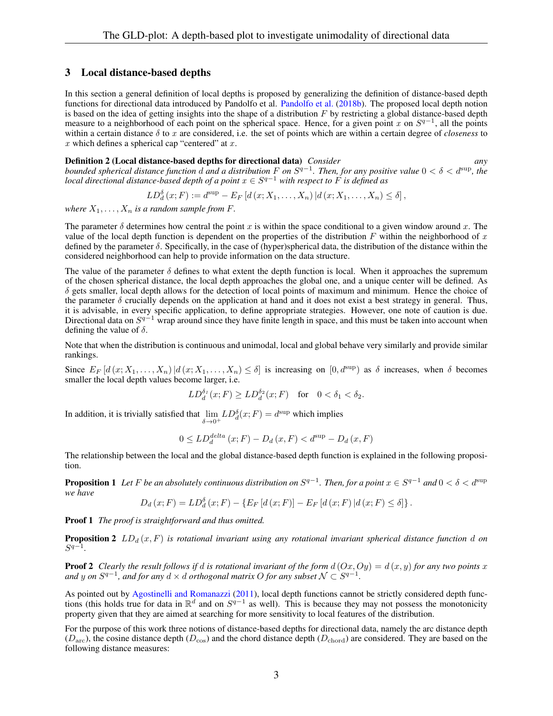### <span id="page-2-0"></span>3 Local distance-based depths

In this section a general definition of local depths is proposed by generalizing the definition of distance-based depth functions for directional data introduced by Pandolfo et al. [Pandolfo et al.](#page-12-12) [\(2018b\)](#page-12-12). The proposed local depth notion is based on the idea of getting insights into the shape of a distribution  $F$  by restricting a global distance-based depth measure to a neighborhood of each point on the spherical space. Hence, for a given point x on  $S^{q-1}$ , all the points within a certain distance δ to x are considered, i.e. the set of points which are within a certain degree of *closeness* to  $x$  which defines a spherical cap "centered" at  $x$ .

#### <span id="page-2-1"></span>Definition 2 (Local distance-based depths for directional data) *Consider any*

*bounded spherical distance function* d *and a distribution* F *on* S q−1 *. Then, for any positive value* 0 < δ < dsup*, the local directional distance-based depth of a point* x ∈ S <sup>q</sup>−<sup>1</sup> *with respect to* F *is defined as*

$$
LD_d^{\delta}(x;F) := d^{\sup} - E_F \left[ d(x;X_1,\ldots,X_n) \, | d(x;X_1,\ldots,X_n) \leq \delta \right],
$$

*where*  $X_1, \ldots, X_n$  *is a random sample from*  $F$ *.* 

The parameter  $\delta$  determines how central the point x is within the space conditional to a given window around x. The value of the local depth function is dependent on the properties of the distribution  $F$  within the neighborhood of  $x$ defined by the parameter δ. Specifically, in the case of (hyper)spherical data, the distribution of the distance within the considered neighborhood can help to provide information on the data structure.

The value of the parameter  $\delta$  defines to what extent the depth function is local. When it approaches the supremum of the chosen spherical distance, the local depth approaches the global one, and a unique center will be defined. As  $\delta$  gets smaller, local depth allows for the detection of local points of maximum and minimum. Hence the choice of the parameter  $\delta$  crucially depends on the application at hand and it does not exist a best strategy in general. Thus, it is advisable, in every specific application, to define appropriate strategies. However, one note of caution is due. Directional data on  $S^{q-1}$  wrap around since they have finite length in space, and this must be taken into account when defining the value of  $\delta$ .

Note that when the distribution is continuous and unimodal, local and global behave very similarly and provide similar rankings.

Since  $E_F[d(x; X_1, \ldots, X_n)|d(x; X_1, \ldots, X_n) \leq \delta]$  is increasing on  $[0, d^{\text{sup}})$  as  $\delta$  increases, when  $\delta$  becomes smaller the local depth values become larger, i.e.

$$
LD_d^{\delta_1}(x;F) \geq LD_d^{\delta_2}(x;F) \quad \text{for} \quad 0 < \delta_1 < \delta_2.
$$

In addition, it is trivially satisfied that  $\lim_{\delta \to 0^+} LD_d^{\delta}(x;F) = d^{\text{sup}}$  which implies

$$
0 \le LD_d^{delta}(x;F) - D_d(x,F) < d^{\text{sup}} - D_d(x,F)
$$

The relationship between the local and the global distance-based depth function is explained in the following proposition.

**Proposition 1** Let F be an absolutely continuous distribution on  $S^{q-1}$ . Then, for a point  $x \in S^{q-1}$  and  $0 < \delta < d^{\text{sup}}$ *we have*

$$
D_{d}(x;F) = LD_{d}^{\delta}(x;F) - \{E_{F}[d(x;F)] - E_{F}[d(x;F)|d(x;F) \leq \delta]\}.
$$

Proof 1 *The proof is straightforward and thus omitted.*

**Proposition 2**  $LD_d(x, F)$  *is rotational invariant using any rotational invariant spherical distance function d on*  $S^{q-1}$ .

**Proof 2** *Clearly the result follows if d is rotational invariant of the form*  $d(Ox,Oy) = d(x,y)$  *for any two points* x and y on  $S^{q-1}$ , and for any  $d \times d$  orthogonal matrix O for any subset  $\mathcal{N} \subset S^{q-1}$ *.*

As pointed out by [Agostinelli and Romanazzi](#page-12-14) [\(2011\)](#page-12-14), local depth functions cannot be strictly considered depth functions (this holds true for data in  $\mathbb{R}^d$  and on  $S^{q-1}$  as well). This is because they may not possess the monotonicity property given that they are aimed at searching for more sensitivity to local features of the distribution.

For the purpose of this work three notions of distance-based depths for directional data, namely the arc distance depth  $(D<sub>arc</sub>)$ , the cosine distance depth  $(D<sub>cos</sub>)$  and the chord distance depth  $(D<sub>chord</sub>)$  are considered. They are based on the following distance measures: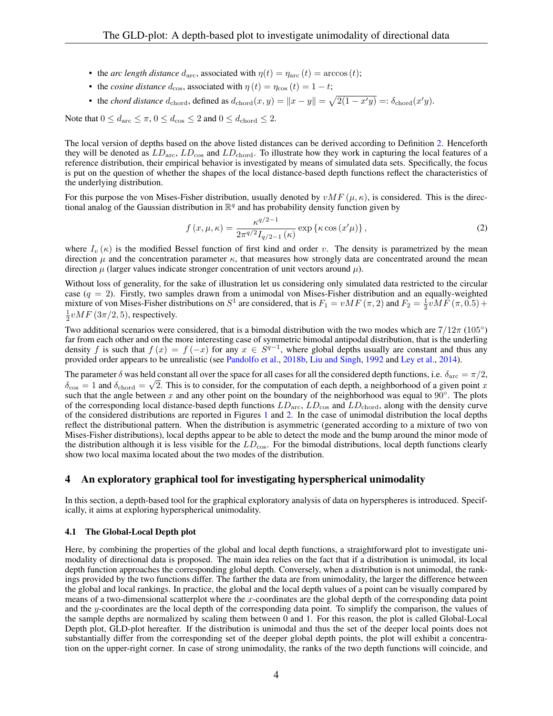- the *arc length distance*  $d_{\text{arc}}$ , associated with  $\eta(t) = \eta_{\text{arc}}(t) = \arccos(t)$ ;
- the *cosine distance*  $d_{\cos}$ , associated with  $\eta(t) = \eta_{\cos}(t) = 1 t$ ;
- the *chord distance*  $d_{\text{chord}}$ , defined as  $d_{\text{chord}}(x, y) = ||x y|| = \sqrt{2(1 x'y)} =: \delta_{\text{chord}}(x'y)$ .

Note that  $0 \leq d_{\text{arc}} \leq \pi$ ,  $0 \leq d_{\text{cos}} \leq 2$  and  $0 \leq d_{\text{chord}} \leq 2$ .

The local version of depths based on the above listed distances can be derived according to Definition [2.](#page-2-1) Henceforth they will be denoted as  $LD_{\rm arc}$ ,  $LD_{\rm cos}$  and  $LD_{\rm chord}$ . To illustrate how they work in capturing the local features of a reference distribution, their empirical behavior is investigated by means of simulated data sets. Specifically, the focus is put on the question of whether the shapes of the local distance-based depth functions reflect the characteristics of the underlying distribution.

For this purpose the von Mises-Fisher distribution, usually denoted by  $vMF(\mu, \kappa)$ , is considered. This is the directional analog of the Gaussian distribution in  $\mathbb{R}^q$  and has probability density function given by

$$
f(x,\mu,\kappa) = \frac{\kappa^{q/2-1}}{2\pi^{q/2}I_{q/2-1}(\kappa)} \exp\left\{\kappa \cos(x'\mu)\right\},
$$
 (2)

where  $I_v(\kappa)$  is the modified Bessel function of first kind and order v. The density is parametrized by the mean direction  $\mu$  and the concentration parameter  $\kappa$ , that measures how strongly data are concentrated around the mean direction  $\mu$  (larger values indicate stronger concentration of unit vectors around  $\mu$ ).

Without loss of generality, for the sake of illustration let us considering only simulated data restricted to the circular case  $(q = 2)$ . Firstly, two samples drawn from a unimodal von Mises-Fisher distribution and an equally-weighted mixture of von Mises-Fisher distributions on  $S^1$  are considered, that is  $F_1 = vMF(\pi, 2)$  and  $F_2 = \frac{1}{2}vMF(\pi, 0.5) +$  $\frac{1}{2}vMF(3\pi/2,5)$ , respectively.

Two additional scenarios were considered, that is a bimodal distribution with the two modes which are  $7/12\pi$  (105°) far from each other and on the more interesting case of symmetric bimodal antipodal distribution, that is the underling density f is such that  $f(x) = f(-x)$  for any  $x \in S^{q-1}$ , where global depths usually are constant and thus any provided order appears to be unrealistic (see [Pandolfo et al.,](#page-12-12) [2018b,](#page-12-12) [Liu and Singh,](#page-12-17) [1992](#page-12-17) and [Ley et al.,](#page-12-18) [2014\)](#page-12-18).

The parameter  $\delta$  was held constant all over the space for all cases for all the considered depth functions, i.e.  $\delta_{\text{arc}} = \pi/2$ ,  $\delta_{\cos} = 1$  and  $\delta_{\text{chord}} = \sqrt{2}$ . This is to consider, for the computation of each depth, a neighborhood of a given point x such that the angle between x and any other point on the boundary of the neighborhood was equal to  $90^\circ$ . The plots of the corresponding local distance-based depth functions  $LD_{\text{arc}}$ ,  $LD_{\text{cos}}$  and  $LD_{\text{chord}}$ , along with the density curve of the considered distributions are reported in Figures [1](#page-4-0) and [2.](#page-4-1) In the case of unimodal distribution the local depths reflect the distributional pattern. When the distribution is asymmetric (generated according to a mixture of two von Mises-Fisher distributions), local depths appear to be able to detect the mode and the bump around the minor mode of the distribution although it is less visible for the  $LD_{\cos}$ . For the bimodal distributions, local depth functions clearly show two local maxima located about the two modes of the distribution.

## <span id="page-3-0"></span>4 An exploratory graphical tool for investigating hyperspherical unimodality

In this section, a depth-based tool for the graphical exploratory analysis of data on hyperspheres is introduced. Specifically, it aims at exploring hyperspherical unimodality.

#### <span id="page-3-1"></span>4.1 The Global-Local Depth plot

Here, by combining the properties of the global and local depth functions, a straightforward plot to investigate unimodality of directional data is proposed. The main idea relies on the fact that if a distribution is unimodal, its local depth function approaches the corresponding global depth. Conversely, when a distribution is not unimodal, the rankings provided by the two functions differ. The farther the data are from unimodality, the larger the difference between the global and local rankings. In practice, the global and the local depth values of a point can be visually compared by means of a two-dimensional scatterplot where the x-coordinates are the global depth of the corresponding data point and the y-coordinates are the local depth of the corresponding data point. To simplify the comparison, the values of the sample depths are normalized by scaling them between 0 and 1. For this reason, the plot is called Global-Local Depth plot, GLD-plot hereafter. If the distribution is unimodal and thus the set of the deeper local points does not substantially differ from the corresponding set of the deeper global depth points, the plot will exhibit a concentration on the upper-right corner. In case of strong unimodality, the ranks of the two depth functions will coincide, and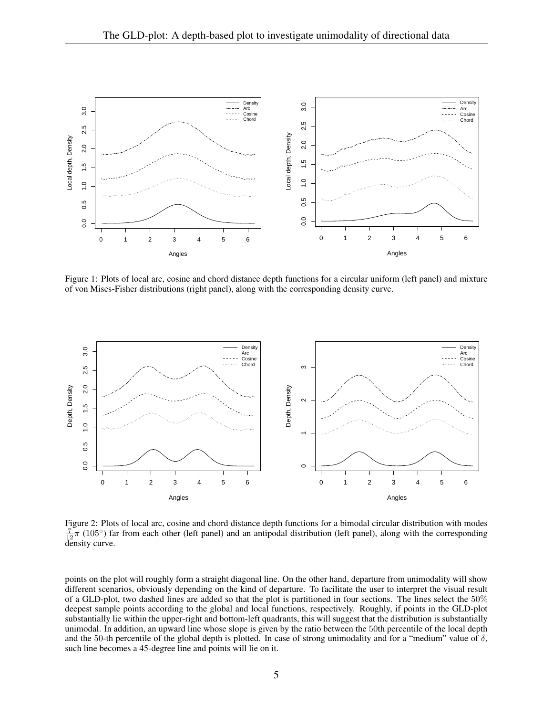

<span id="page-4-0"></span>Figure 1: Plots of local arc, cosine and chord distance depth functions for a circular uniform (left panel) and mixture of von Mises-Fisher distributions (right panel), along with the corresponding density curve.



<span id="page-4-1"></span>Figure 2: Plots of local arc, cosine and chord distance depth functions for a bimodal circular distribution with modes  $\frac{7}{12}\pi$  (105°) far from each other (left panel) and an antipodal distribution (left panel), along with the corresponding density curve.

points on the plot will roughly form a straight diagonal line. On the other hand, departure from unimodality will show different scenarios, obviously depending on the kind of departure. To facilitate the user to interpret the visual result of a GLD-plot, two dashed lines are added so that the plot is partitioned in four sections. The lines select the 50% deepest sample points according to the global and local functions, respectively. Roughly, if points in the GLD-plot substantially lie within the upper-right and bottom-left quadrants, this will suggest that the distribution is substantially unimodal. In addition, an upward line whose slope is given by the ratio between the 50th percentile of the local depth and the 50-th percentile of the global depth is plotted. In case of strong unimodality and for a "medium" value of  $\delta$ , such line becomes a 45-degree line and points will lie on it.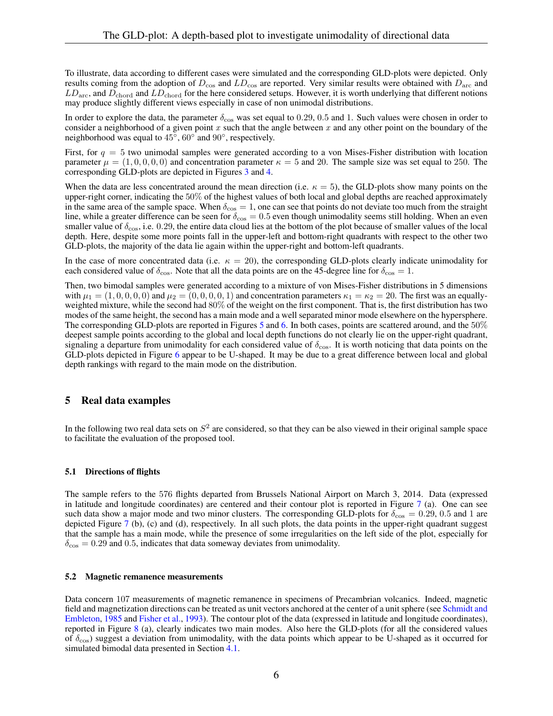To illustrate, data according to different cases were simulated and the corresponding GLD-plots were depicted. Only results coming from the adoption of  $D_{\cos}$  and  $LD_{\cos}$  are reported. Very similar results were obtained with  $D_{\rm arc}$  and  $LD_{\rm arc}$ , and  $D_{\rm chord}$  and  $LD_{\rm chord}$  for the here considered setups. However, it is worth underlying that different notions may produce slightly different views especially in case of non unimodal distributions.

In order to explore the data, the parameter  $\delta_{\rm cos}$  was set equal to 0.29, 0.5 and 1. Such values were chosen in order to consider a neighborhood of a given point  $x$  such that the angle between  $x$  and any other point on the boundary of the neighborhood was equal to  $45^{\circ}$ ,  $60^{\circ}$  and  $90^{\circ}$ , respectively.

First, for  $q = 5$  two unimodal samples were generated according to a von Mises-Fisher distribution with location parameter  $\mu = (1, 0, 0, 0, 0)$  and concentration parameter  $\kappa = 5$  and 20. The sample size was set equal to 250. The corresponding GLD-plots are depicted in Figures [3](#page-6-1) and [4.](#page-7-0)

When the data are less concentrated around the mean direction (i.e.  $\kappa = 5$ ), the GLD-plots show many points on the upper-right corner, indicating the 50% of the highest values of both local and global depths are reached approximately in the same area of the sample space. When  $\delta_{\cos} = 1$ , one can see that points do not deviate too much from the straight line, while a greater difference can be seen for  $\delta_{\cos} = 0.5$  even though unimodality seems still holding. When an even smaller value of  $\delta_{\cos}$ , i.e. 0.29, the entire data cloud lies at the bottom of the plot because of smaller values of the local depth. Here, despite some more points fall in the upper-left and bottom-right quadrants with respect to the other two GLD-plots, the majority of the data lie again within the upper-right and bottom-left quadrants.

In the case of more concentrated data (i.e.  $\kappa = 20$ ), the corresponding GLD-plots clearly indicate unimodality for each considered value of  $\delta_{\rm cos}$ . Note that all the data points are on the 45-degree line for  $\delta_{\rm cos} = 1$ .

Then, two bimodal samples were generated according to a mixture of von Mises-Fisher distributions in 5 dimensions with  $\mu_1 = (1, 0, 0, 0, 0)$  and  $\mu_2 = (0, 0, 0, 0, 1)$  and concentration parameters  $\kappa_1 = \kappa_2 = 20$ . The first was an equallyweighted mixture, while the second had 80% of the weight on the first component. That is, the first distribution has two modes of the same height, the second has a main mode and a well separated minor mode elsewhere on the hypersphere. The corresponding GLD-plots are reported in Figures [5](#page-8-0) and [6.](#page-9-0) In both cases, points are scattered around, and the 50% deepest sample points according to the global and local depth functions do not clearly lie on the upper-right quadrant, signaling a departure from unimodality for each considered value of  $\delta_{\rm cos}$ . It is worth noticing that data points on the GLD-plots depicted in Figure [6](#page-9-0) appear to be U-shaped. It may be due to a great difference between local and global depth rankings with regard to the main mode on the distribution.

## <span id="page-5-0"></span>5 Real data examples

In the following two real data sets on  $S<sup>2</sup>$  are considered, so that they can be also viewed in their original sample space to facilitate the evaluation of the proposed tool.

#### 5.1 Directions of flights

The sample refers to the 576 flights departed from Brussels National Airport on March 3, 2014. Data (expressed in latitude and longitude coordinates) are centered and their contour plot is reported in Figure [7](#page-10-0) (a). One can see such data show a major mode and two minor clusters. The corresponding GLD-plots for  $\delta_{\text{cos}} = 0.29, 0.5$  and 1 are depicted Figure [7](#page-10-0) (b), (c) and (d), respectively. In all such plots, the data points in the upper-right quadrant suggest that the sample has a main mode, while the presence of some irregularities on the left side of the plot, especially for  $\delta_{\cos} = 0.29$  and 0.5, indicates that data someway deviates from unimodality.

#### 5.2 Magnetic remanence measurements

Data concern 107 measurements of magnetic remanence in specimens of Precambrian volcanics. Indeed, magnetic field and magnetization directions can be treated as unit vectors anchored at the center of a unit sphere (see [Schmidt and](#page-12-19) [Embleton,](#page-12-19) [1985](#page-12-19) and [Fisher et al.,](#page-12-20) [1993\)](#page-12-20). The contour plot of the data (expressed in latitude and longitude coordinates), reported in Figure [8](#page-11-0) (a), clearly indicates two main modes. Also here the GLD-plots (for all the considered values of  $\delta_{\cos}$ ) suggest a deviation from unimodality, with the data points which appear to be U-shaped as it occurred for simulated bimodal data presented in Section [4.1.](#page-3-1)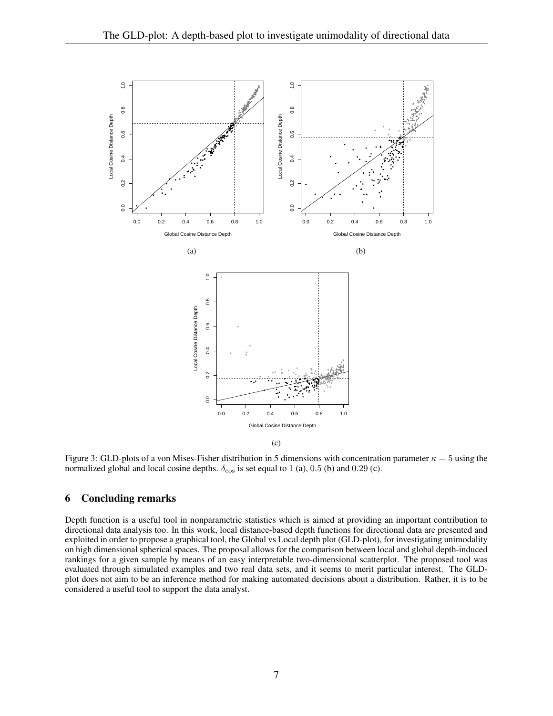

<span id="page-6-1"></span>Figure 3: GLD-plots of a von Mises-Fisher distribution in 5 dimensions with concentration parameter  $\kappa = 5$  using the normalized global and local cosine depths.  $\delta_{\cos}$  is set equal to 1 (a), 0.5 (b) and 0.29 (c).

## <span id="page-6-0"></span>6 Concluding remarks

Depth function is a useful tool in nonparametric statistics which is aimed at providing an important contribution to directional data analysis too. In this work, local distance-based depth functions for directional data are presented and exploited in order to propose a graphical tool, the Global vs Local depth plot (GLD-plot), for investigating unimodality on high dimensional spherical spaces. The proposal allows for the comparison between local and global depth-induced rankings for a given sample by means of an easy interpretable two-dimensional scatterplot. The proposed tool was evaluated through simulated examples and two real data sets, and it seems to merit particular interest. The GLDplot does not aim to be an inference method for making automated decisions about a distribution. Rather, it is to be considered a useful tool to support the data analyst.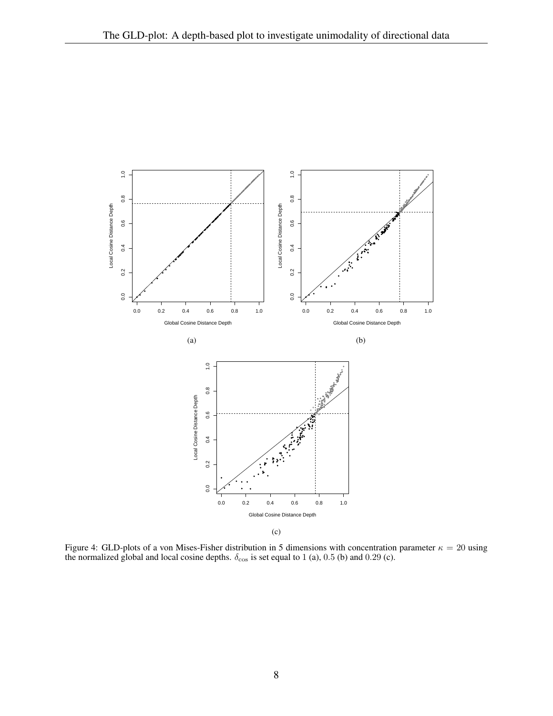

<span id="page-7-0"></span>Figure 4: GLD-plots of a von Mises-Fisher distribution in 5 dimensions with concentration parameter  $\kappa = 20$  using the normalized global and local cosine depths.  $\delta_{\cos}$  is set equal to 1 (a), 0.5 (b) and 0.29 (c).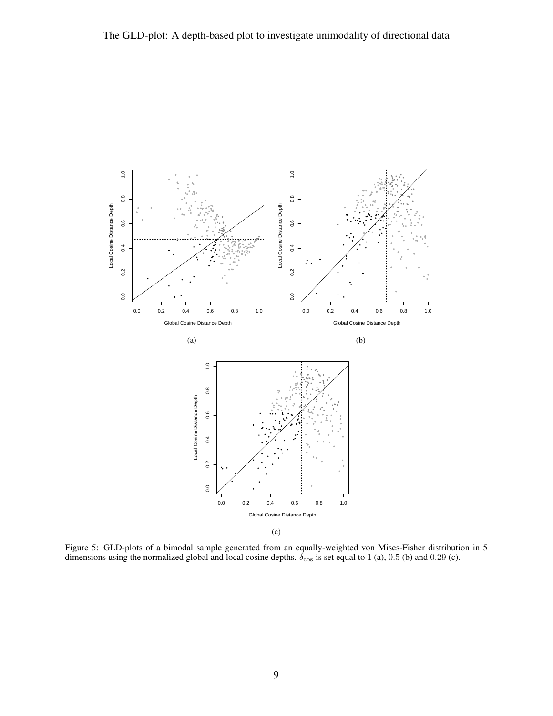

<span id="page-8-0"></span>Figure 5: GLD-plots of a bimodal sample generated from an equally-weighted von Mises-Fisher distribution in 5 dimensions using the normalized global and local cosine depths.  $\delta_{\cos}$  is set equal to 1 (a), 0.5 (b) and 0.29 (c).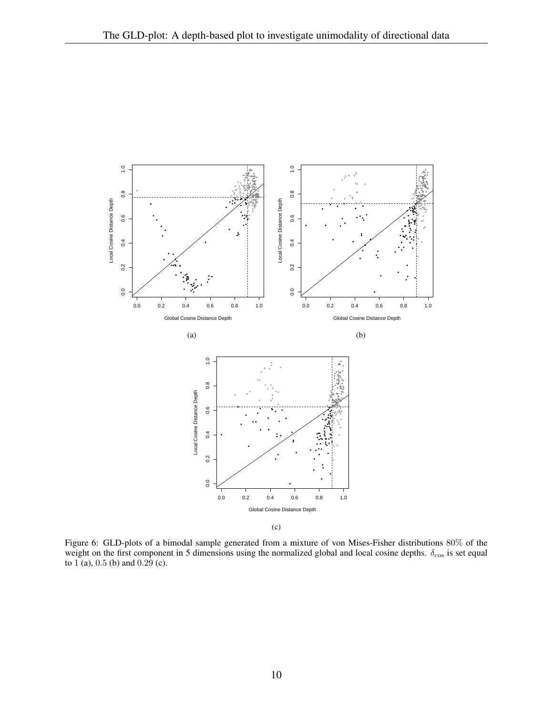

<span id="page-9-0"></span>Figure 6: GLD-plots of a bimodal sample generated from a mixture of von Mises-Fisher distributions 80% of the weight on the first component in 5 dimensions using the normalized global and local cosine depths.  $\delta_{\cos}$  is set equal to  $1$  (a),  $0.5$  (b) and  $0.29$  (c).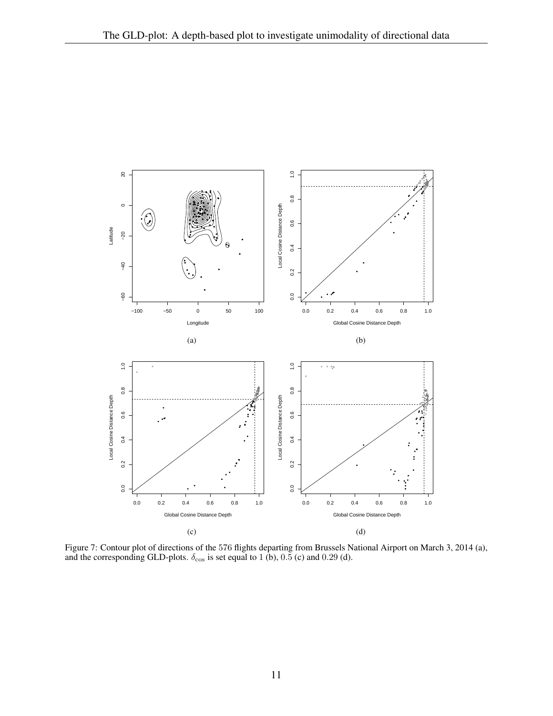

<span id="page-10-0"></span>Figure 7: Contour plot of directions of the 576 flights departing from Brussels National Airport on March 3, 2014 (a), and the corresponding GLD-plots.  $\delta_{\cos}$  is set equal to 1 (b), 0.5 (c) and 0.29 (d).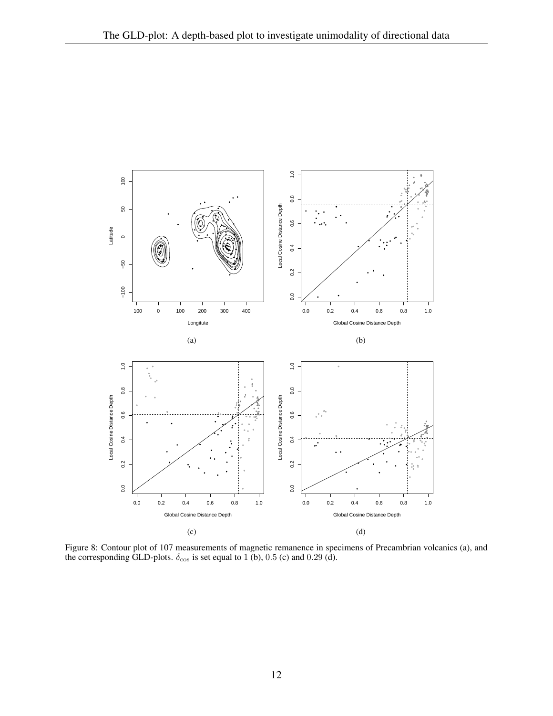

<span id="page-11-0"></span>Figure 8: Contour plot of 107 measurements of magnetic remanence in specimens of Precambrian volcanics (a), and the corresponding GLD-plots.  $\delta_{\cos}$  is set equal to 1 (b), 0.5 (c) and 0.29 (d).